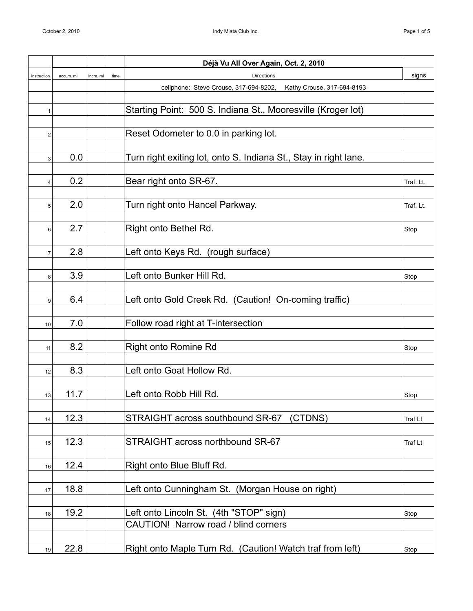|                |            |           |      | Déjà Vu All Over Again, Oct. 2, 2010                                 |           |
|----------------|------------|-----------|------|----------------------------------------------------------------------|-----------|
| instruction    | accum. mi. | incre, mi | time | <b>Directions</b>                                                    | signs     |
|                |            |           |      | cellphone: Steve Crouse, 317-694-8202,<br>Kathy Crouse, 317-694-8193 |           |
|                |            |           |      |                                                                      |           |
| 1              |            |           |      | Starting Point: 500 S. Indiana St., Mooresville (Kroger lot)         |           |
|                |            |           |      |                                                                      |           |
| 2              |            |           |      | Reset Odometer to 0.0 in parking lot.                                |           |
|                |            |           |      |                                                                      |           |
| 3              | 0.0        |           |      | Turn right exiting lot, onto S. Indiana St., Stay in right lane.     |           |
|                |            |           |      |                                                                      |           |
| $\overline{4}$ | 0.2        |           |      | Bear right onto SR-67.                                               | Traf. Lt. |
|                | 2.0        |           |      | Turn right onto Hancel Parkway.                                      | Traf. Lt. |
| 5 <sup>1</sup> |            |           |      |                                                                      |           |
| 6              | 2.7        |           |      | Right onto Bethel Rd.                                                | Stop      |
|                |            |           |      |                                                                      |           |
| $\overline{7}$ | 2.8        |           |      | Left onto Keys Rd. (rough surface)                                   |           |
|                |            |           |      |                                                                      |           |
| 8              | 3.9        |           |      | Left onto Bunker Hill Rd.                                            | Stop      |
|                |            |           |      |                                                                      |           |
| 9              | 6.4        |           |      | Left onto Gold Creek Rd. (Caution! On-coming traffic)                |           |
|                |            |           |      |                                                                      |           |
| 10             | 7.0        |           |      | Follow road right at T-intersection                                  |           |
|                |            |           |      |                                                                      |           |
| 11             | 8.2        |           |      | <b>Right onto Romine Rd</b>                                          | Stop      |
|                |            |           |      |                                                                      |           |
| 12             | 8.3        |           |      | Left onto Goat Hollow Rd.                                            |           |
|                |            |           |      |                                                                      |           |
| 13             | 11.7       |           |      | Left onto Robb Hill Rd.                                              | Stop      |
|                |            |           |      |                                                                      |           |
| 14             | 12.3       |           |      | STRAIGHT across southbound SR-67<br>(CTDNS)                          | Traf Lt   |
|                | 12.3       |           |      | STRAIGHT across northbound SR-67                                     |           |
| 15             |            |           |      |                                                                      | Traf Lt   |
| 16             | 12.4       |           |      | Right onto Blue Bluff Rd.                                            |           |
|                |            |           |      |                                                                      |           |
| 17             | 18.8       |           |      | Left onto Cunningham St. (Morgan House on right)                     |           |
|                |            |           |      |                                                                      |           |
| 18             | 19.2       |           |      | Left onto Lincoln St. (4th "STOP" sign)                              | Stop      |
|                |            |           |      | CAUTION! Narrow road / blind corners                                 |           |
|                |            |           |      |                                                                      |           |
| 19             | 22.8       |           |      | Right onto Maple Turn Rd. (Caution! Watch traf from left)            | Stop      |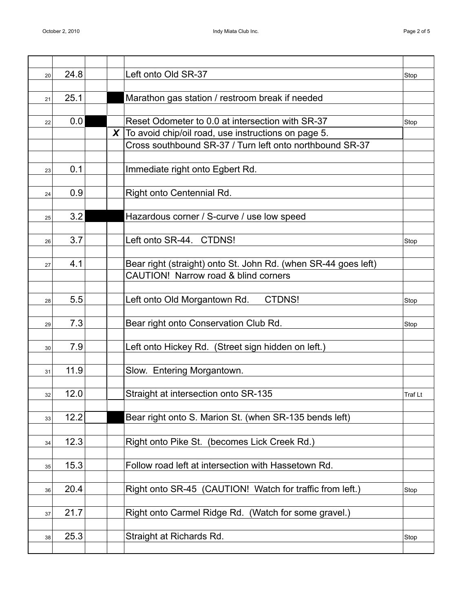| 20 | 24.8 |   | Left onto Old SR-37                                            | Stop    |
|----|------|---|----------------------------------------------------------------|---------|
|    |      |   |                                                                |         |
| 21 | 25.1 |   | Marathon gas station / restroom break if needed                |         |
|    |      |   |                                                                |         |
| 22 | 0.0  |   | Reset Odometer to 0.0 at intersection with SR-37               | Stop    |
|    |      | X | To avoid chip/oil road, use instructions on page 5.            |         |
|    |      |   | Cross southbound SR-37 / Turn left onto northbound SR-37       |         |
|    |      |   |                                                                |         |
| 23 | 0.1  |   | Immediate right onto Egbert Rd.                                |         |
|    |      |   |                                                                |         |
| 24 | 0.9  |   | Right onto Centennial Rd.                                      |         |
|    | 3.2  |   | Hazardous corner / S-curve / use low speed                     |         |
| 25 |      |   |                                                                |         |
|    | 3.7  |   | Left onto SR-44. CTDNS!                                        |         |
| 26 |      |   |                                                                | Stop    |
| 27 | 4.1  |   | Bear right (straight) onto St. John Rd. (when SR-44 goes left) |         |
|    |      |   | CAUTION! Narrow road & blind corners                           |         |
|    |      |   |                                                                |         |
| 28 | 5.5  |   | CTDNS!<br>Left onto Old Morgantown Rd.                         | Stop    |
|    |      |   |                                                                |         |
| 29 | 7.3  |   | Bear right onto Conservation Club Rd.                          | Stop    |
|    |      |   |                                                                |         |
| 30 | 7.9  |   | Left onto Hickey Rd. (Street sign hidden on left.)             |         |
|    |      |   |                                                                |         |
| 31 | 11.9 |   | Slow. Entering Morgantown.                                     |         |
|    |      |   |                                                                |         |
| 32 | 12.0 |   | Straight at intersection onto SR-135                           | Traf Lt |
|    |      |   |                                                                |         |
| 33 | 12.2 |   | Bear right onto S. Marion St. (when SR-135 bends left)         |         |
|    |      |   |                                                                |         |
| 34 | 12.3 |   | Right onto Pike St. (becomes Lick Creek Rd.)                   |         |
|    |      |   |                                                                |         |
| 35 | 15.3 |   | Follow road left at intersection with Hassetown Rd.            |         |
|    |      |   |                                                                |         |
| 36 | 20.4 |   | Right onto SR-45 (CAUTION! Watch for traffic from left.)       | Stop    |
|    | 21.7 |   |                                                                |         |
| 37 |      |   | Right onto Carmel Ridge Rd. (Watch for some gravel.)           |         |
|    | 25.3 |   | Straight at Richards Rd.                                       |         |
| 38 |      |   |                                                                | Stop    |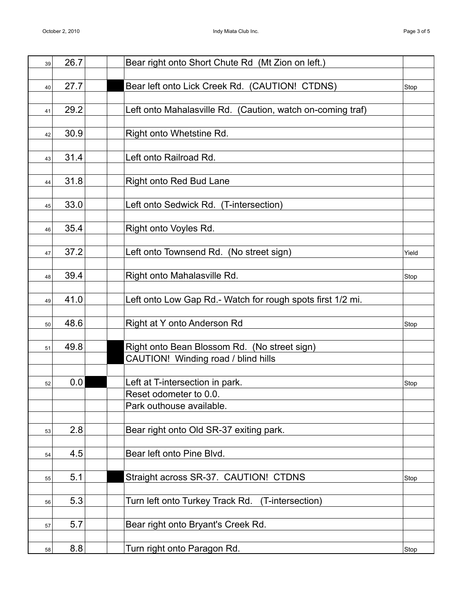| 39 | 26.7 | Bear right onto Short Chute Rd (Mt Zion on left.)          |       |
|----|------|------------------------------------------------------------|-------|
|    |      |                                                            |       |
| 40 | 27.7 | Bear left onto Lick Creek Rd. (CAUTION! CTDNS)             | Stop  |
|    |      |                                                            |       |
| 41 | 29.2 | Left onto Mahalasville Rd. (Caution, watch on-coming traf) |       |
|    |      |                                                            |       |
| 42 | 30.9 | Right onto Whetstine Rd.                                   |       |
|    |      |                                                            |       |
| 43 | 31.4 | Left onto Railroad Rd.                                     |       |
|    |      |                                                            |       |
| 44 | 31.8 | <b>Right onto Red Bud Lane</b>                             |       |
|    |      |                                                            |       |
| 45 | 33.0 | Left onto Sedwick Rd. (T-intersection)                     |       |
|    | 35.4 | Right onto Voyles Rd.                                      |       |
| 46 |      |                                                            |       |
| 47 | 37.2 | Left onto Townsend Rd. (No street sign)                    | Yield |
|    |      |                                                            |       |
| 48 | 39.4 | Right onto Mahalasville Rd.                                | Stop  |
|    |      |                                                            |       |
| 49 | 41.0 | Left onto Low Gap Rd.- Watch for rough spots first 1/2 mi. |       |
|    |      |                                                            |       |
| 50 | 48.6 | Right at Y onto Anderson Rd                                | Stop  |
|    |      |                                                            |       |
| 51 | 49.8 | Right onto Bean Blossom Rd. (No street sign)               |       |
|    |      | CAUTION! Winding road / blind hills                        |       |
|    |      |                                                            |       |
| 52 | 0.0  | Left at T-intersection in park.                            | Stop  |
|    |      | Reset odometer to 0.0.                                     |       |
|    |      | Park outhouse available.                                   |       |
|    |      |                                                            |       |
| 53 | 2.8  | Bear right onto Old SR-37 exiting park.                    |       |
|    |      |                                                            |       |
| 54 | 4.5  | Bear left onto Pine Blvd.                                  |       |
|    |      |                                                            |       |
| 55 | 5.1  | Straight across SR-37. CAUTION! CTDNS                      | Stop  |
|    |      |                                                            |       |
| 56 | 5.3  | Turn left onto Turkey Track Rd.<br>(T-intersection)        |       |
|    |      |                                                            |       |
| 57 | 5.7  | Bear right onto Bryant's Creek Rd.                         |       |
|    |      |                                                            |       |
| 58 | 8.8  | Turn right onto Paragon Rd.                                | Stop  |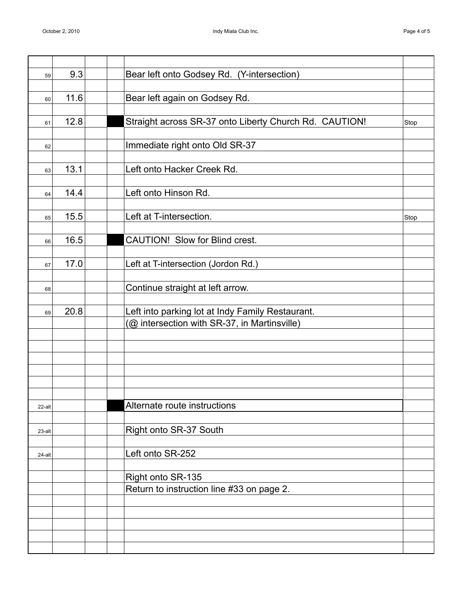| 59     | 9.3  | Bear left onto Godsey Rd. (Y-intersection)             |      |
|--------|------|--------------------------------------------------------|------|
|        |      |                                                        |      |
| 60     | 11.6 | Bear left again on Godsey Rd.                          |      |
|        |      |                                                        |      |
| 61     | 12.8 | Straight across SR-37 onto Liberty Church Rd. CAUTION! | Stop |
|        |      |                                                        |      |
| 62     |      | Immediate right onto Old SR-37                         |      |
|        |      |                                                        |      |
| 63     | 13.1 | Left onto Hacker Creek Rd.                             |      |
|        |      |                                                        |      |
| 64     | 14.4 | Left onto Hinson Rd.                                   |      |
|        |      | Left at T-intersection.                                |      |
| 65     | 15.5 |                                                        | Stop |
|        | 16.5 | CAUTION! Slow for Blind crest.                         |      |
| 66     |      |                                                        |      |
|        | 17.0 | Left at T-intersection (Jordon Rd.)                    |      |
| 67     |      |                                                        |      |
| 68     |      | Continue straight at left arrow.                       |      |
|        |      |                                                        |      |
| 69     | 20.8 | Left into parking lot at Indy Family Restaurant.       |      |
|        |      | (@ intersection with SR-37, in Martinsville)           |      |
|        |      |                                                        |      |
|        |      |                                                        |      |
|        |      |                                                        |      |
|        |      |                                                        |      |
|        |      |                                                        |      |
|        |      |                                                        |      |
| 22-alt |      | Alternate route instructions                           |      |
|        |      |                                                        |      |
| 23-alt |      | Right onto SR-37 South                                 |      |
|        |      |                                                        |      |
| 24-alt |      | Left onto SR-252                                       |      |
|        |      |                                                        |      |
|        |      | Right onto SR-135                                      |      |
|        |      | Return to instruction line #33 on page 2.              |      |
|        |      |                                                        |      |
|        |      |                                                        |      |
|        |      |                                                        |      |
|        |      |                                                        |      |
|        |      |                                                        |      |